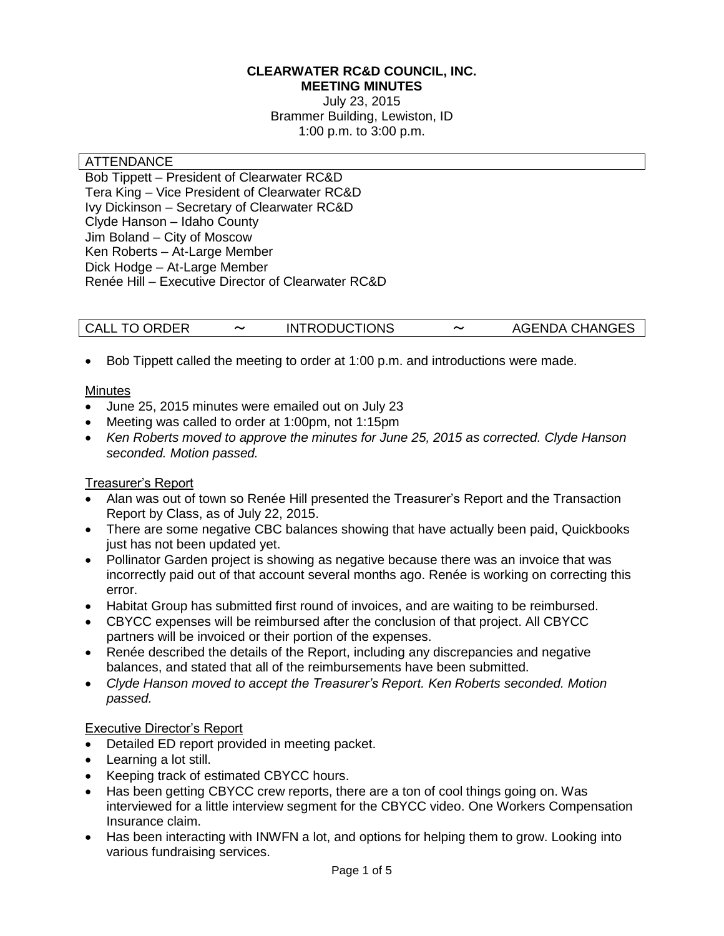#### **CLEARWATER RC&D COUNCIL, INC. MEETING MINUTES**

July 23, 2015 Brammer Building, Lewiston, ID 1:00 p.m. to 3:00 p.m.

#### **ATTENDANCE**

Bob Tippett – President of Clearwater RC&D Tera King – Vice President of Clearwater RC&D Ivy Dickinson – Secretary of Clearwater RC&D Clyde Hanson – Idaho County Jim Boland – City of Moscow Ken Roberts – At-Large Member Dick Hodge – At-Large Member Renée Hill – Executive Director of Clearwater RC&D

|  | <b>CALL TO ORDER</b> |  | <b>INTRODUCTIONS</b> | 〜 | <b>AGENDA CHANGES</b> |
|--|----------------------|--|----------------------|---|-----------------------|
|--|----------------------|--|----------------------|---|-----------------------|

Bob Tippett called the meeting to order at 1:00 p.m. and introductions were made.

### **Minutes**

- June 25, 2015 minutes were emailed out on July 23
- Meeting was called to order at 1:00pm, not 1:15pm
- *Ken Roberts moved to approve the minutes for June 25, 2015 as corrected. Clyde Hanson seconded. Motion passed.*

### Treasurer's Report

- Alan was out of town so Renée Hill presented the Treasurer's Report and the Transaction Report by Class, as of July 22, 2015.
- There are some negative CBC balances showing that have actually been paid, Quickbooks just has not been updated yet.
- Pollinator Garden project is showing as negative because there was an invoice that was incorrectly paid out of that account several months ago. Renée is working on correcting this error.
- Habitat Group has submitted first round of invoices, and are waiting to be reimbursed.
- CBYCC expenses will be reimbursed after the conclusion of that project. All CBYCC partners will be invoiced or their portion of the expenses.
- Renée described the details of the Report, including any discrepancies and negative balances, and stated that all of the reimbursements have been submitted.
- *Clyde Hanson moved to accept the Treasurer's Report. Ken Roberts seconded. Motion passed.*

#### Executive Director's Report

- Detailed ED report provided in meeting packet.
- Learning a lot still.
- Keeping track of estimated CBYCC hours.
- Has been getting CBYCC crew reports, there are a ton of cool things going on. Was interviewed for a little interview segment for the CBYCC video. One Workers Compensation Insurance claim.
- Has been interacting with INWFN a lot, and options for helping them to grow. Looking into various fundraising services.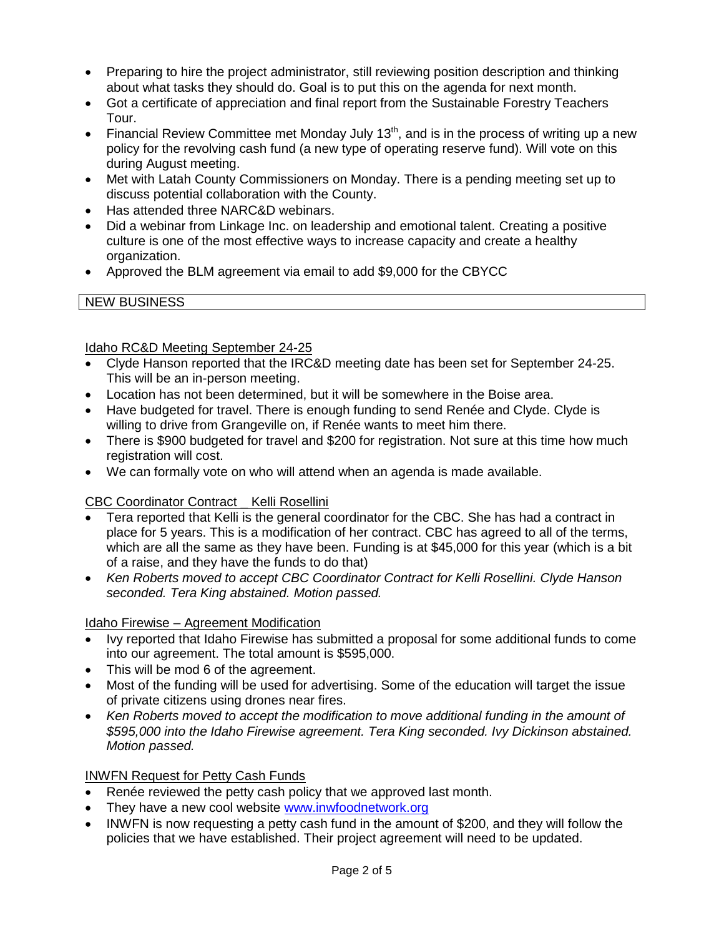- Preparing to hire the project administrator, still reviewing position description and thinking about what tasks they should do. Goal is to put this on the agenda for next month.
- Got a certificate of appreciation and final report from the Sustainable Forestry Teachers Tour.
- Financial Review Committee met Monday July  $13<sup>th</sup>$ , and is in the process of writing up a new policy for the revolving cash fund (a new type of operating reserve fund). Will vote on this during August meeting.
- Met with Latah County Commissioners on Monday. There is a pending meeting set up to discuss potential collaboration with the County.
- Has attended three NARC&D webinars.
- Did a webinar from Linkage Inc. on leadership and emotional talent. Creating a positive culture is one of the most effective ways to increase capacity and create a healthy organization.
- Approved the BLM agreement via email to add \$9,000 for the CBYCC

### NEW BUSINESS

### Idaho RC&D Meeting September 24-25

- Clyde Hanson reported that the IRC&D meeting date has been set for September 24-25. This will be an in-person meeting.
- Location has not been determined, but it will be somewhere in the Boise area.
- Have budgeted for travel. There is enough funding to send Renée and Clyde. Clyde is willing to drive from Grangeville on, if Renée wants to meet him there.
- There is \$900 budgeted for travel and \$200 for registration. Not sure at this time how much registration will cost.
- We can formally vote on who will attend when an agenda is made available.

### CBC Coordinator Contract \_ Kelli Rosellini

- Tera reported that Kelli is the general coordinator for the CBC. She has had a contract in place for 5 years. This is a modification of her contract. CBC has agreed to all of the terms, which are all the same as they have been. Funding is at \$45,000 for this year (which is a bit of a raise, and they have the funds to do that)
- *Ken Roberts moved to accept CBC Coordinator Contract for Kelli Rosellini. Clyde Hanson seconded. Tera King abstained. Motion passed.*

### Idaho Firewise – Agreement Modification

- Ivy reported that Idaho Firewise has submitted a proposal for some additional funds to come into our agreement. The total amount is \$595,000.
- This will be mod 6 of the agreement.
- Most of the funding will be used for advertising. Some of the education will target the issue of private citizens using drones near fires.
- *Ken Roberts moved to accept the modification to move additional funding in the amount of \$595,000 into the Idaho Firewise agreement. Tera King seconded. Ivy Dickinson abstained. Motion passed.*

### INWFN Request for Petty Cash Funds

- Renée reviewed the petty cash policy that we approved last month.
- They have a new cool website [www.inwfoodnetwork.org](http://www.inwfoodnetwork.org/)
- INWFN is now requesting a petty cash fund in the amount of \$200, and they will follow the policies that we have established. Their project agreement will need to be updated.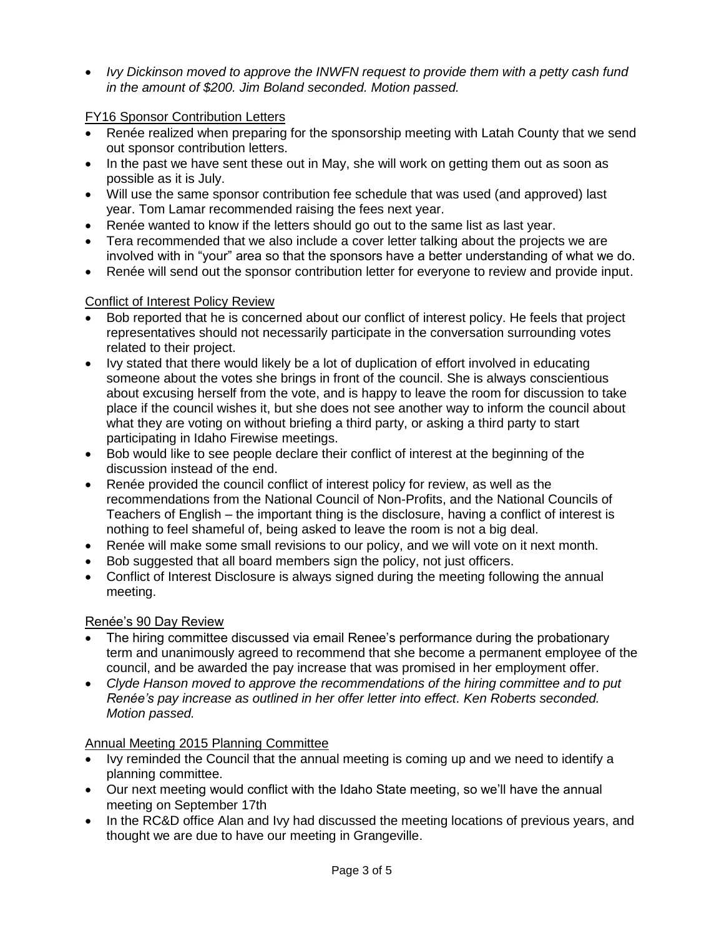*Ivy Dickinson moved to approve the INWFN request to provide them with a petty cash fund in the amount of \$200. Jim Boland seconded. Motion passed.*

### FY16 Sponsor Contribution Letters

- Renée realized when preparing for the sponsorship meeting with Latah County that we send out sponsor contribution letters.
- In the past we have sent these out in May, she will work on getting them out as soon as possible as it is July.
- Will use the same sponsor contribution fee schedule that was used (and approved) last year. Tom Lamar recommended raising the fees next year.
- Renée wanted to know if the letters should go out to the same list as last year.
- Tera recommended that we also include a cover letter talking about the projects we are involved with in "your" area so that the sponsors have a better understanding of what we do.
- Renée will send out the sponsor contribution letter for everyone to review and provide input.

# Conflict of Interest Policy Review

- Bob reported that he is concerned about our conflict of interest policy. He feels that project representatives should not necessarily participate in the conversation surrounding votes related to their project.
- Ivy stated that there would likely be a lot of duplication of effort involved in educating someone about the votes she brings in front of the council. She is always conscientious about excusing herself from the vote, and is happy to leave the room for discussion to take place if the council wishes it, but she does not see another way to inform the council about what they are voting on without briefing a third party, or asking a third party to start participating in Idaho Firewise meetings.
- Bob would like to see people declare their conflict of interest at the beginning of the discussion instead of the end.
- Renée provided the council conflict of interest policy for review, as well as the recommendations from the National Council of Non-Profits, and the National Councils of Teachers of English – the important thing is the disclosure, having a conflict of interest is nothing to feel shameful of, being asked to leave the room is not a big deal.
- Renée will make some small revisions to our policy, and we will vote on it next month.
- Bob suggested that all board members sign the policy, not just officers.
- Conflict of Interest Disclosure is always signed during the meeting following the annual meeting.

# Renée's 90 Day Review

- The hiring committee discussed via email Renee's performance during the probationary term and unanimously agreed to recommend that she become a permanent employee of the council, and be awarded the pay increase that was promised in her employment offer.
- *Clyde Hanson moved to approve the recommendations of the hiring committee and to put Renée's pay increase as outlined in her offer letter into effect. Ken Roberts seconded. Motion passed.*

# Annual Meeting 2015 Planning Committee

- Ivy reminded the Council that the annual meeting is coming up and we need to identify a planning committee.
- Our next meeting would conflict with the Idaho State meeting, so we'll have the annual meeting on September 17th
- In the RC&D office Alan and Ivy had discussed the meeting locations of previous years, and thought we are due to have our meeting in Grangeville.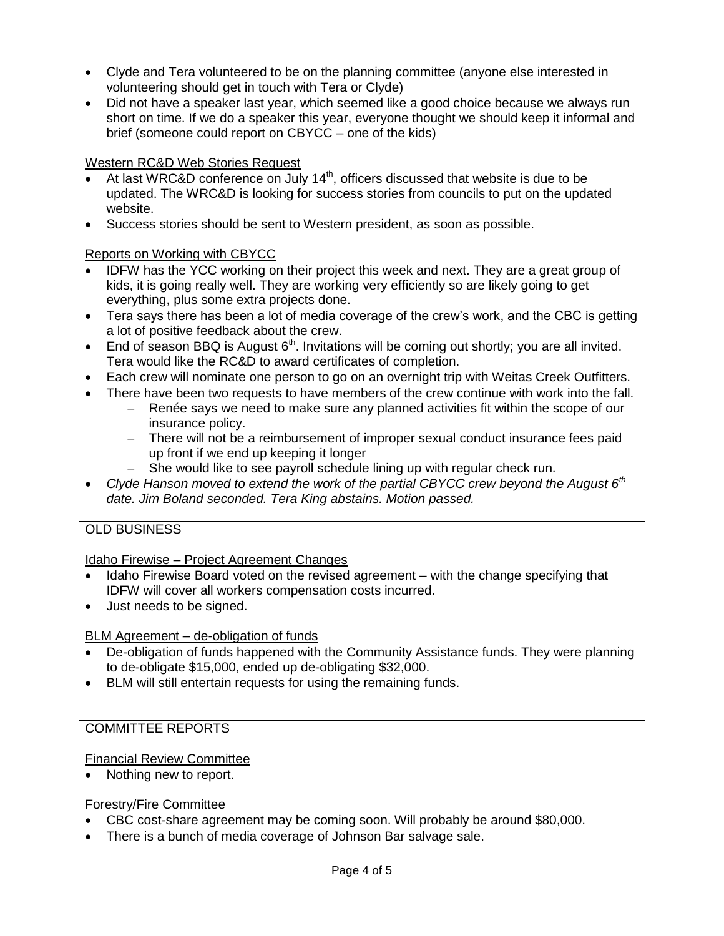- Clyde and Tera volunteered to be on the planning committee (anyone else interested in volunteering should get in touch with Tera or Clyde)
- Did not have a speaker last year, which seemed like a good choice because we always run short on time. If we do a speaker this year, everyone thought we should keep it informal and brief (someone could report on CBYCC – one of the kids)

### Western RC&D Web Stories Request

- At last WRC&D conference on July  $14<sup>th</sup>$ , officers discussed that website is due to be updated. The WRC&D is looking for success stories from councils to put on the updated website.
- Success stories should be sent to Western president, as soon as possible.

### Reports on Working with CBYCC

- IDFW has the YCC working on their project this week and next. They are a great group of kids, it is going really well. They are working very efficiently so are likely going to get everything, plus some extra projects done.
- Tera says there has been a lot of media coverage of the crew's work, and the CBC is getting a lot of positive feedback about the crew.
- $\bullet$  End of season BBQ is August  $6<sup>th</sup>$ . Invitations will be coming out shortly; you are all invited. Tera would like the RC&D to award certificates of completion.
- Each crew will nominate one person to go on an overnight trip with Weitas Creek Outfitters.
- There have been two requests to have members of the crew continue with work into the fall.
	- Renée says we need to make sure any planned activities fit within the scope of our insurance policy.
	- There will not be a reimbursement of improper sexual conduct insurance fees paid up front if we end up keeping it longer
	- She would like to see payroll schedule lining up with regular check run.
- *Clyde Hanson moved to extend the work of the partial CBYCC crew beyond the August 6th date. Jim Boland seconded. Tera King abstains. Motion passed.*

### OLD BUSINESS

Idaho Firewise – Project Agreement Changes

- Idaho Firewise Board voted on the revised agreement with the change specifying that IDFW will cover all workers compensation costs incurred.
- Just needs to be signed.

### BLM Agreement – de-obligation of funds

- De-obligation of funds happened with the Community Assistance funds. They were planning to de-obligate \$15,000, ended up de-obligating \$32,000.
- BLM will still entertain requests for using the remaining funds.

### COMMITTEE REPORTS

### Financial Review Committee

Nothing new to report.

### Forestry/Fire Committee

- CBC cost-share agreement may be coming soon. Will probably be around \$80,000.
- There is a bunch of media coverage of Johnson Bar salvage sale.